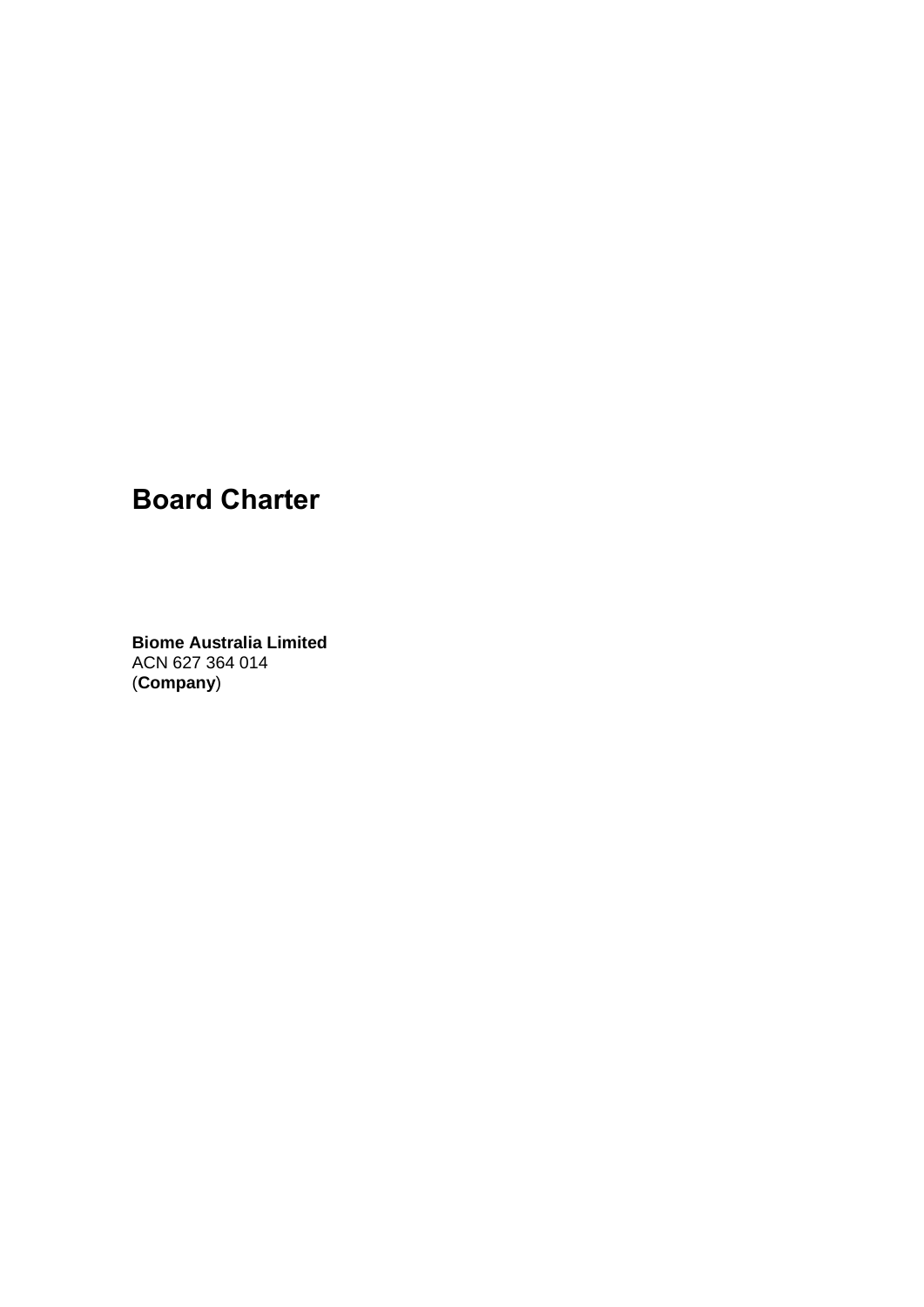## **Board Charter**

**Biome Australia Limited**  ACN 627 364 014 (**Company**)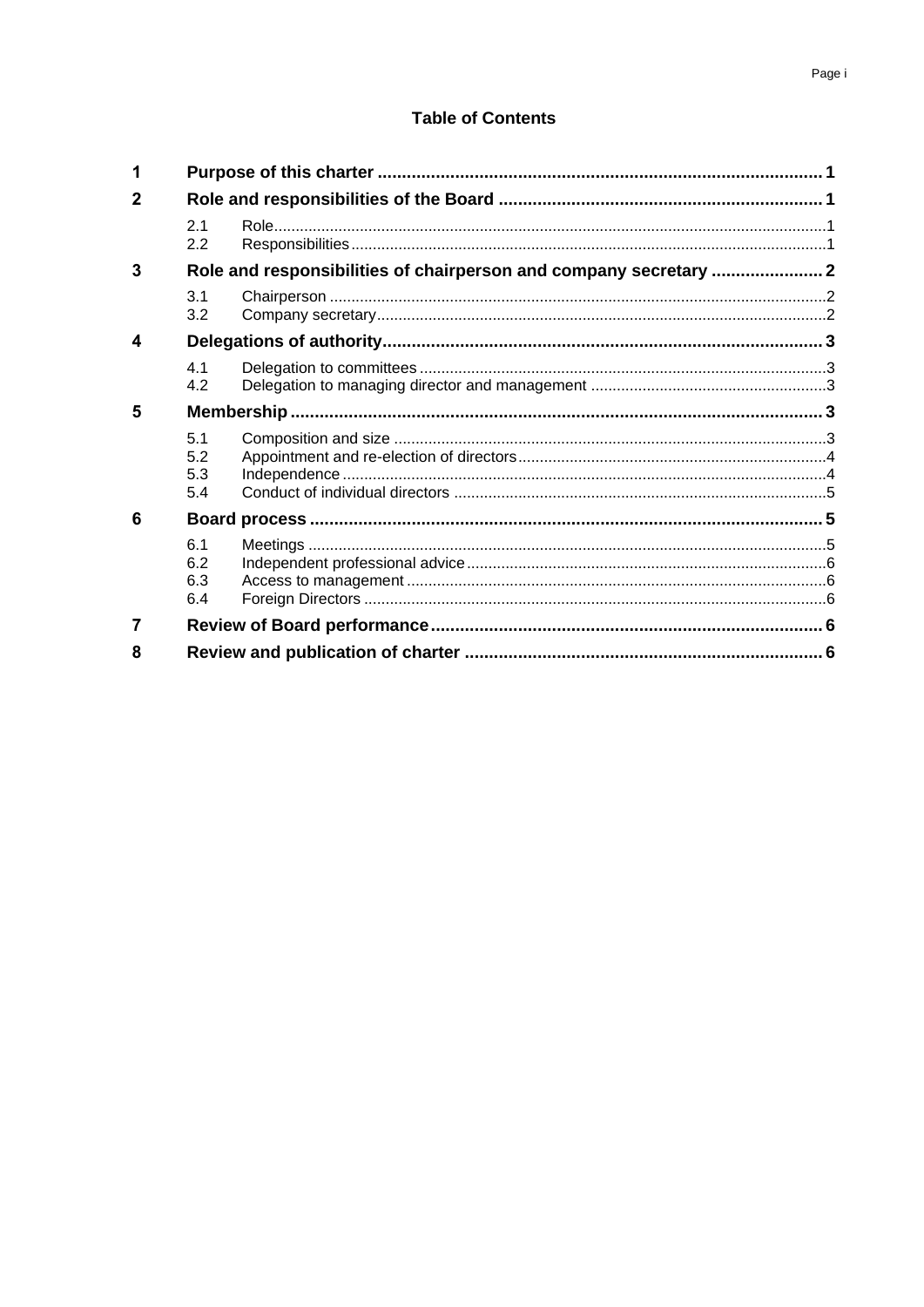# **Table of Contents**

| 1 |                                                                   |  |  |
|---|-------------------------------------------------------------------|--|--|
| 2 |                                                                   |  |  |
|   | 2.1<br>2.2                                                        |  |  |
| 3 | Role and responsibilities of chairperson and company secretary  2 |  |  |
|   | 3.1<br>3.2                                                        |  |  |
| 4 |                                                                   |  |  |
|   | 4.1<br>4.2                                                        |  |  |
| 5 |                                                                   |  |  |
|   | 5.1<br>5.2<br>5.3<br>5.4                                          |  |  |
| 6 |                                                                   |  |  |
|   | 6.1<br>6.2<br>6.3<br>6.4                                          |  |  |
| 7 |                                                                   |  |  |
| 8 |                                                                   |  |  |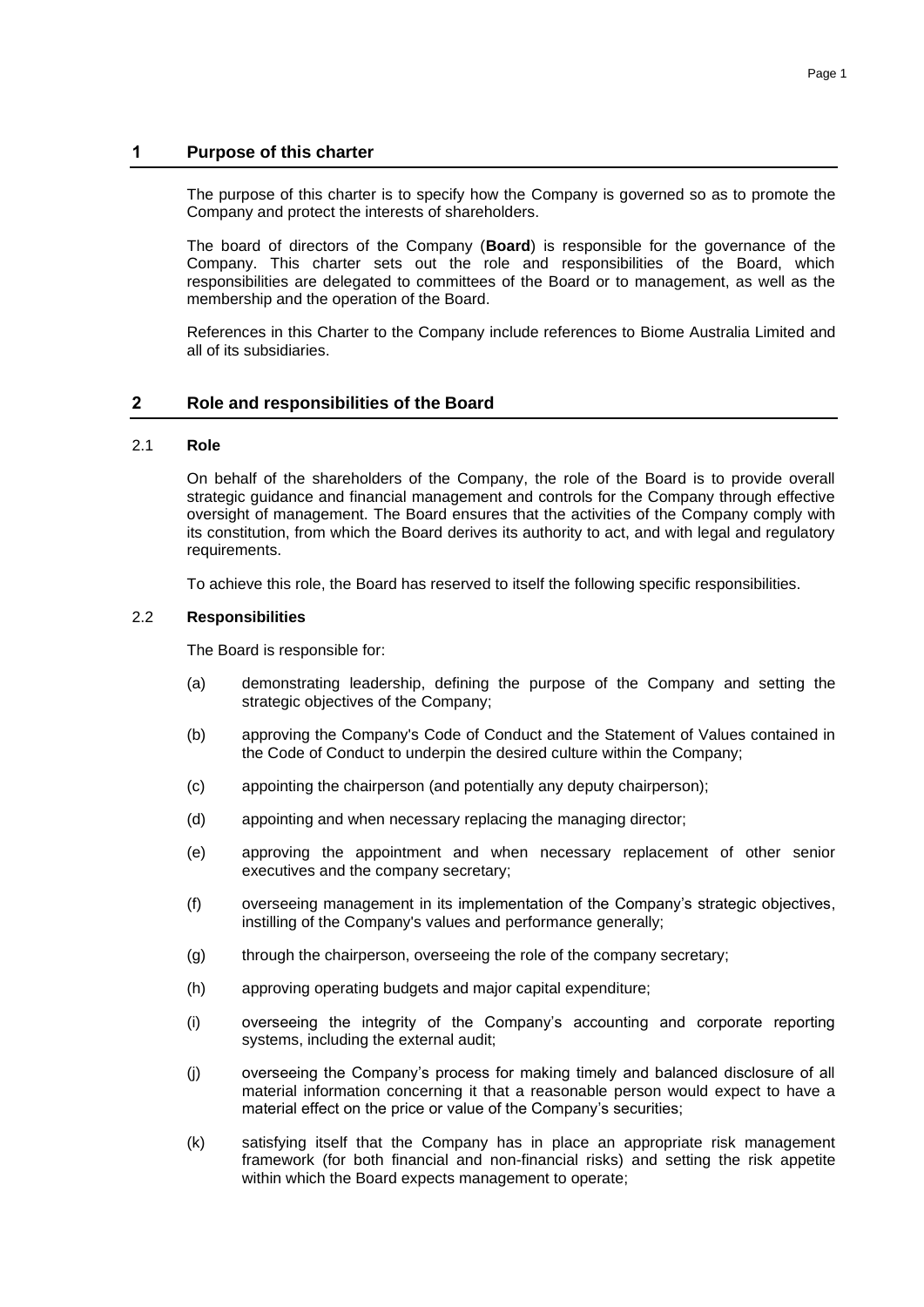## **1 Purpose of this charter**

The purpose of this charter is to specify how the Company is governed so as to promote the Company and protect the interests of shareholders.

The board of directors of the Company (**Board**) is responsible for the governance of the Company. This charter sets out the role and responsibilities of the Board, which responsibilities are delegated to committees of the Board or to management, as well as the membership and the operation of the Board.

References in this Charter to the Company include references to Biome Australia Limited and all of its subsidiaries.

## **2 Role and responsibilities of the Board**

#### 2.1 **Role**

On behalf of the shareholders of the Company, the role of the Board is to provide overall strategic guidance and financial management and controls for the Company through effective oversight of management. The Board ensures that the activities of the Company comply with its constitution, from which the Board derives its authority to act, and with legal and regulatory requirements.

To achieve this role, the Board has reserved to itself the following specific responsibilities.

#### 2.2 **Responsibilities**

The Board is responsible for:

- (a) demonstrating leadership, defining the purpose of the Company and setting the strategic objectives of the Company;
- (b) approving the Company's Code of Conduct and the Statement of Values contained in the Code of Conduct to underpin the desired culture within the Company;
- (c) appointing the chairperson (and potentially any deputy chairperson);
- (d) appointing and when necessary replacing the managing director;
- (e) approving the appointment and when necessary replacement of other senior executives and the company secretary;
- (f) overseeing management in its implementation of the Company's strategic objectives, instilling of the Company's values and performance generally;
- (g) through the chairperson, overseeing the role of the company secretary;
- (h) approving operating budgets and major capital expenditure;
- (i) overseeing the integrity of the Company's accounting and corporate reporting systems, including the external audit;
- (j) overseeing the Company's process for making timely and balanced disclosure of all material information concerning it that a reasonable person would expect to have a material effect on the price or value of the Company's securities;
- (k) satisfying itself that the Company has in place an appropriate risk management framework (for both financial and non-financial risks) and setting the risk appetite within which the Board expects management to operate;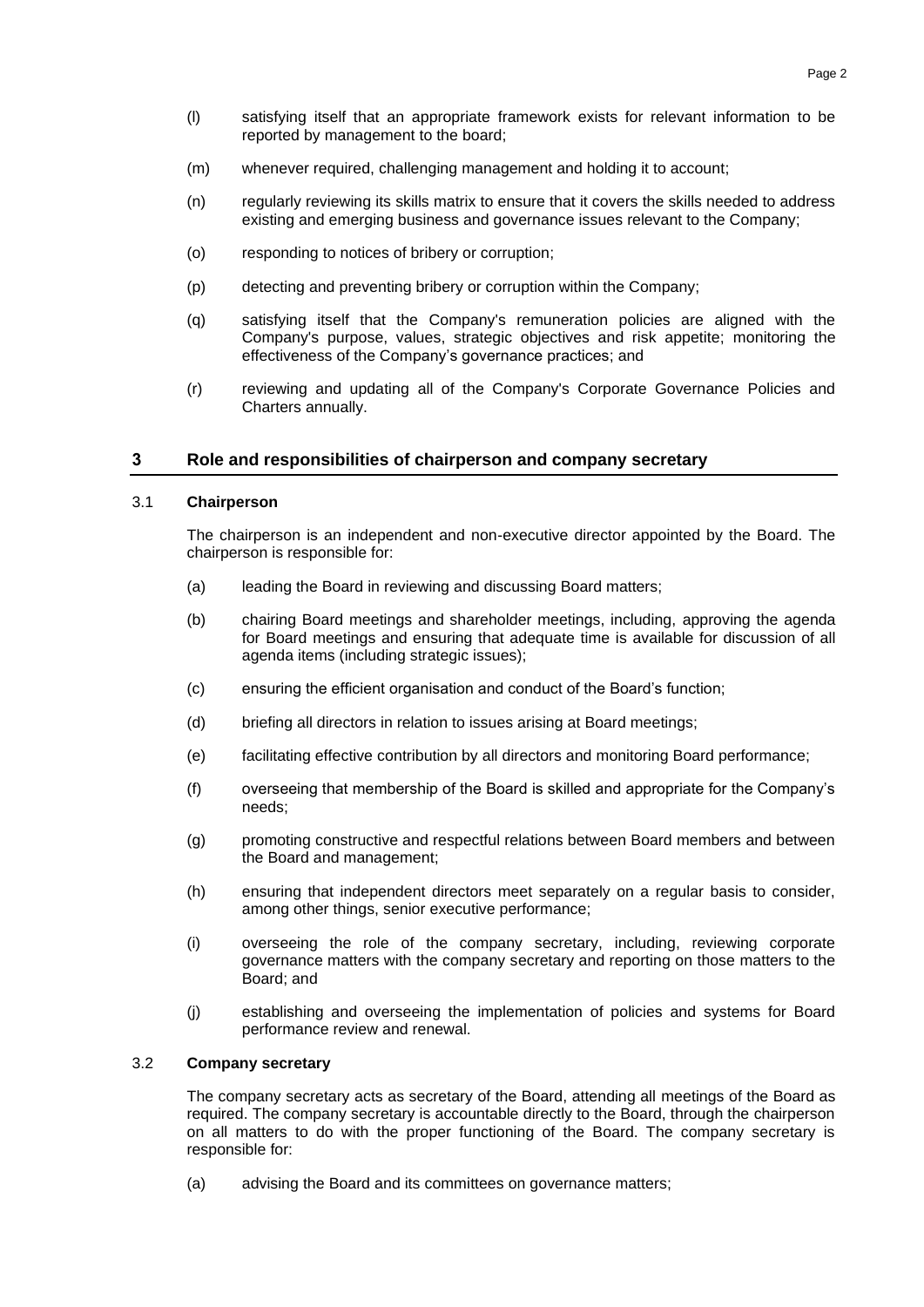- (l) satisfying itself that an appropriate framework exists for relevant information to be reported by management to the board;
- (m) whenever required, challenging management and holding it to account;
- (n) regularly reviewing its skills matrix to ensure that it covers the skills needed to address existing and emerging business and governance issues relevant to the Company;
- (o) responding to notices of bribery or corruption;
- (p) detecting and preventing bribery or corruption within the Company;
- (q) satisfying itself that the Company's remuneration policies are aligned with the Company's purpose, values, strategic objectives and risk appetite; monitoring the effectiveness of the Company's governance practices; and
- (r) reviewing and updating all of the Company's Corporate Governance Policies and Charters annually.

## **3 Role and responsibilities of chairperson and company secretary**

## 3.1 **Chairperson**

The chairperson is an independent and non-executive director appointed by the Board. The chairperson is responsible for:

- (a) leading the Board in reviewing and discussing Board matters;
- (b) chairing Board meetings and shareholder meetings, including, approving the agenda for Board meetings and ensuring that adequate time is available for discussion of all agenda items (including strategic issues);
- (c) ensuring the efficient organisation and conduct of the Board's function;
- (d) briefing all directors in relation to issues arising at Board meetings;
- (e) facilitating effective contribution by all directors and monitoring Board performance;
- (f) overseeing that membership of the Board is skilled and appropriate for the Company's needs;
- (g) promoting constructive and respectful relations between Board members and between the Board and management;
- (h) ensuring that independent directors meet separately on a regular basis to consider, among other things, senior executive performance;
- (i) overseeing the role of the company secretary, including, reviewing corporate governance matters with the company secretary and reporting on those matters to the Board; and
- (j) establishing and overseeing the implementation of policies and systems for Board performance review and renewal.

## 3.2 **Company secretary**

The company secretary acts as secretary of the Board, attending all meetings of the Board as required. The company secretary is accountable directly to the Board, through the chairperson on all matters to do with the proper functioning of the Board. The company secretary is responsible for:

(a) advising the Board and its committees on governance matters;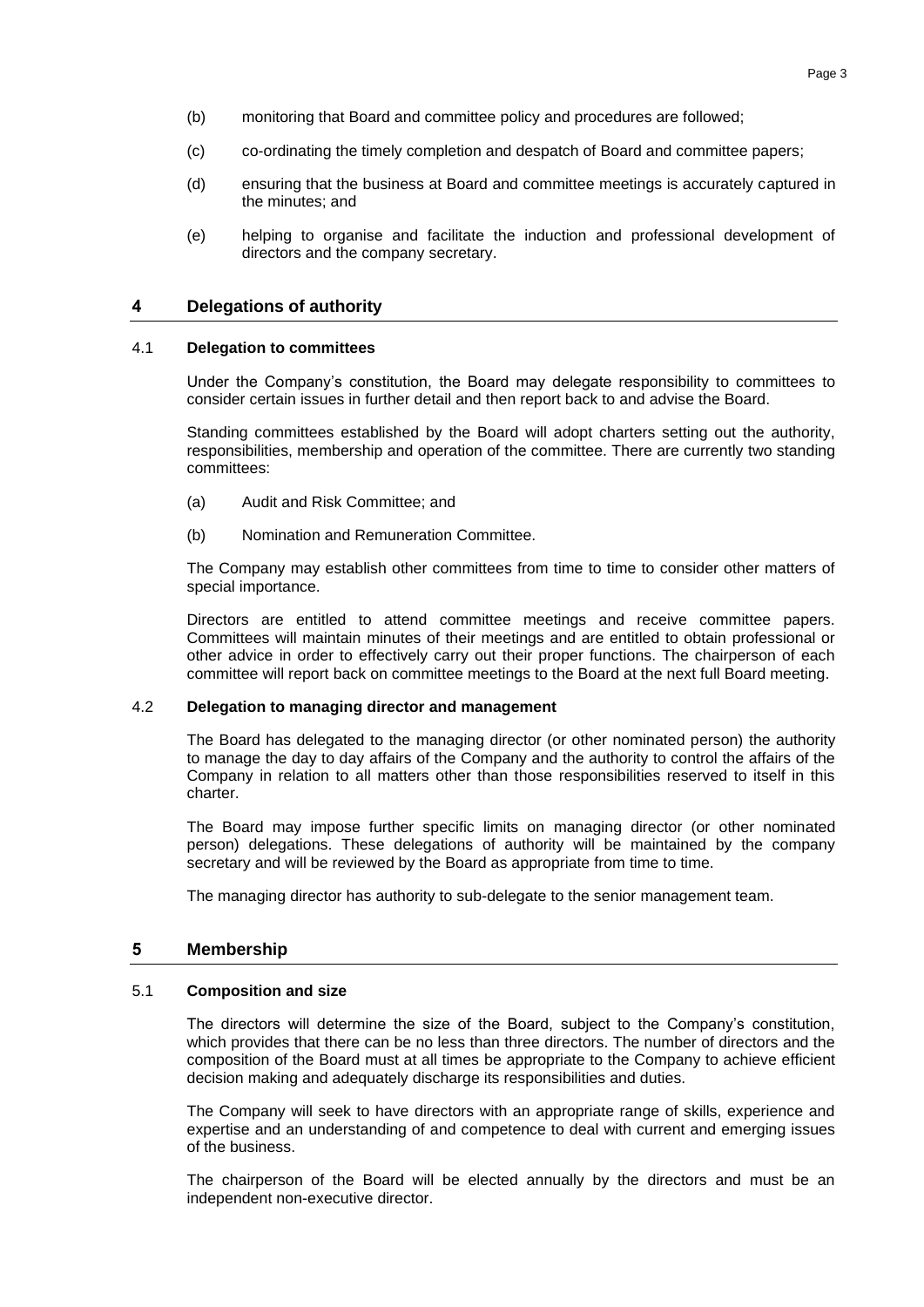- (b) monitoring that Board and committee policy and procedures are followed;
- (c) co-ordinating the timely completion and despatch of Board and committee papers;
- (d) ensuring that the business at Board and committee meetings is accurately captured in the minutes; and
- (e) helping to organise and facilitate the induction and professional development of directors and the company secretary.

## **4 Delegations of authority**

#### 4.1 **Delegation to committees**

Under the Company's constitution, the Board may delegate responsibility to committees to consider certain issues in further detail and then report back to and advise the Board.

Standing committees established by the Board will adopt charters setting out the authority, responsibilities, membership and operation of the committee. There are currently two standing committees:

- (a) Audit and Risk Committee; and
- (b) Nomination and Remuneration Committee.

The Company may establish other committees from time to time to consider other matters of special importance.

Directors are entitled to attend committee meetings and receive committee papers. Committees will maintain minutes of their meetings and are entitled to obtain professional or other advice in order to effectively carry out their proper functions. The chairperson of each committee will report back on committee meetings to the Board at the next full Board meeting.

#### 4.2 **Delegation to managing director and management**

The Board has delegated to the managing director (or other nominated person) the authority to manage the day to day affairs of the Company and the authority to control the affairs of the Company in relation to all matters other than those responsibilities reserved to itself in this charter.

The Board may impose further specific limits on managing director (or other nominated person) delegations. These delegations of authority will be maintained by the company secretary and will be reviewed by the Board as appropriate from time to time.

The managing director has authority to sub-delegate to the senior management team.

#### **5 Membership**

#### 5.1 **Composition and size**

The directors will determine the size of the Board, subject to the Company's constitution, which provides that there can be no less than three directors. The number of directors and the composition of the Board must at all times be appropriate to the Company to achieve efficient decision making and adequately discharge its responsibilities and duties.

The Company will seek to have directors with an appropriate range of skills, experience and expertise and an understanding of and competence to deal with current and emerging issues of the business.

The chairperson of the Board will be elected annually by the directors and must be an independent non-executive director.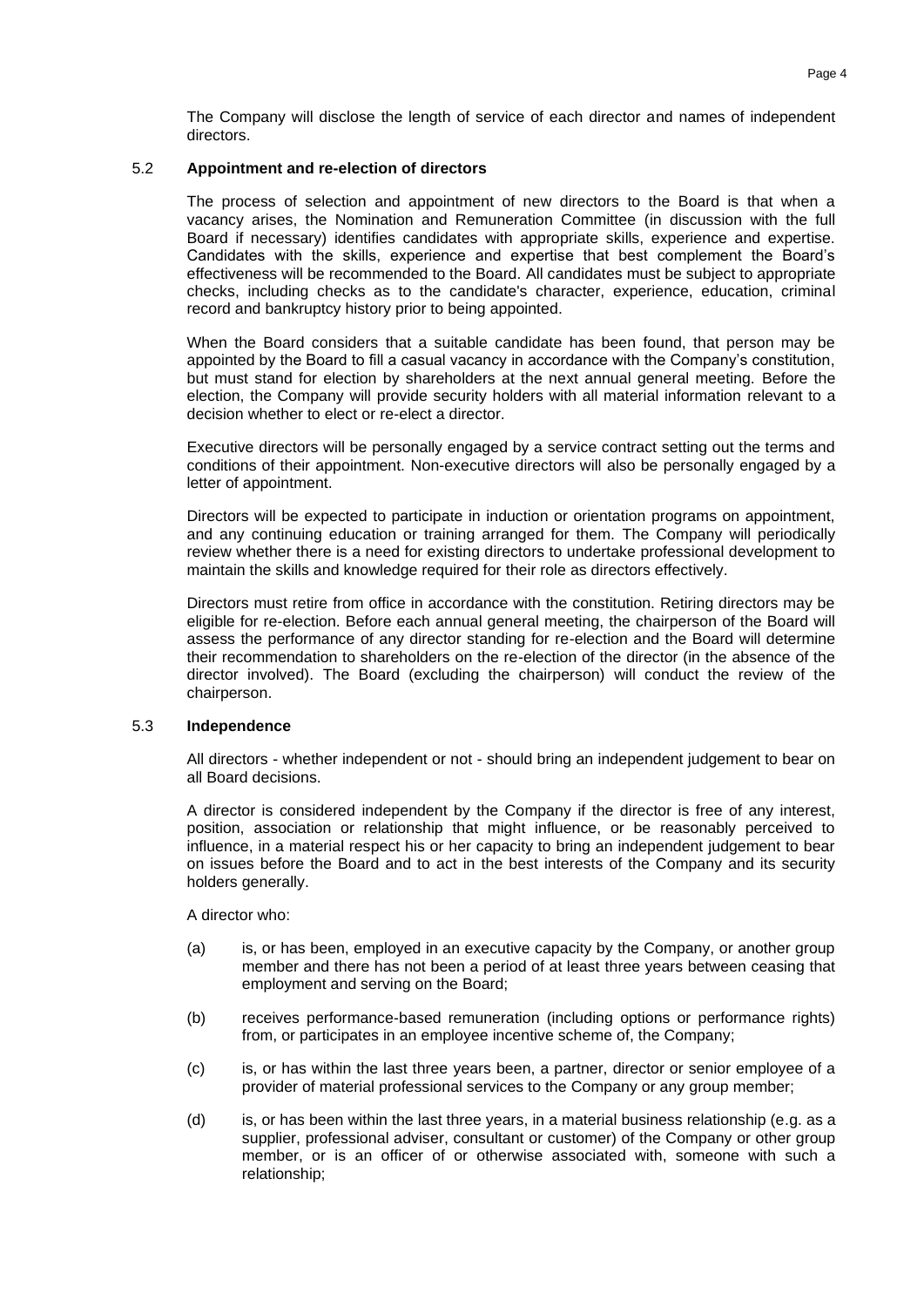## 5.2 **Appointment and re-election of directors**

The process of selection and appointment of new directors to the Board is that when a vacancy arises, the Nomination and Remuneration Committee (in discussion with the full Board if necessary) identifies candidates with appropriate skills, experience and expertise. Candidates with the skills, experience and expertise that best complement the Board's effectiveness will be recommended to the Board. All candidates must be subject to appropriate checks, including checks as to the candidate's character, experience, education, criminal record and bankruptcy history prior to being appointed.

When the Board considers that a suitable candidate has been found, that person may be appointed by the Board to fill a casual vacancy in accordance with the Company's constitution, but must stand for election by shareholders at the next annual general meeting. Before the election, the Company will provide security holders with all material information relevant to a decision whether to elect or re-elect a director.

Executive directors will be personally engaged by a service contract setting out the terms and conditions of their appointment. Non-executive directors will also be personally engaged by a letter of appointment.

Directors will be expected to participate in induction or orientation programs on appointment, and any continuing education or training arranged for them. The Company will periodically review whether there is a need for existing directors to undertake professional development to maintain the skills and knowledge required for their role as directors effectively.

Directors must retire from office in accordance with the constitution. Retiring directors may be eligible for re-election. Before each annual general meeting, the chairperson of the Board will assess the performance of any director standing for re-election and the Board will determine their recommendation to shareholders on the re-election of the director (in the absence of the director involved). The Board (excluding the chairperson) will conduct the review of the chairperson.

#### 5.3 **Independence**

All directors - whether independent or not - should bring an independent judgement to bear on all Board decisions.

A director is considered independent by the Company if the director is free of any interest, position, association or relationship that might influence, or be reasonably perceived to influence, in a material respect his or her capacity to bring an independent judgement to bear on issues before the Board and to act in the best interests of the Company and its security holders generally.

A director who:

- (a) is, or has been, employed in an executive capacity by the Company, or another group member and there has not been a period of at least three years between ceasing that employment and serving on the Board;
- (b) receives performance-based remuneration (including options or performance rights) from, or participates in an employee incentive scheme of, the Company;
- (c) is, or has within the last three years been, a partner, director or senior employee of a provider of material professional services to the Company or any group member;
- (d) is, or has been within the last three years, in a material business relationship (e.g. as a supplier, professional adviser, consultant or customer) of the Company or other group member, or is an officer of or otherwise associated with, someone with such a relationship;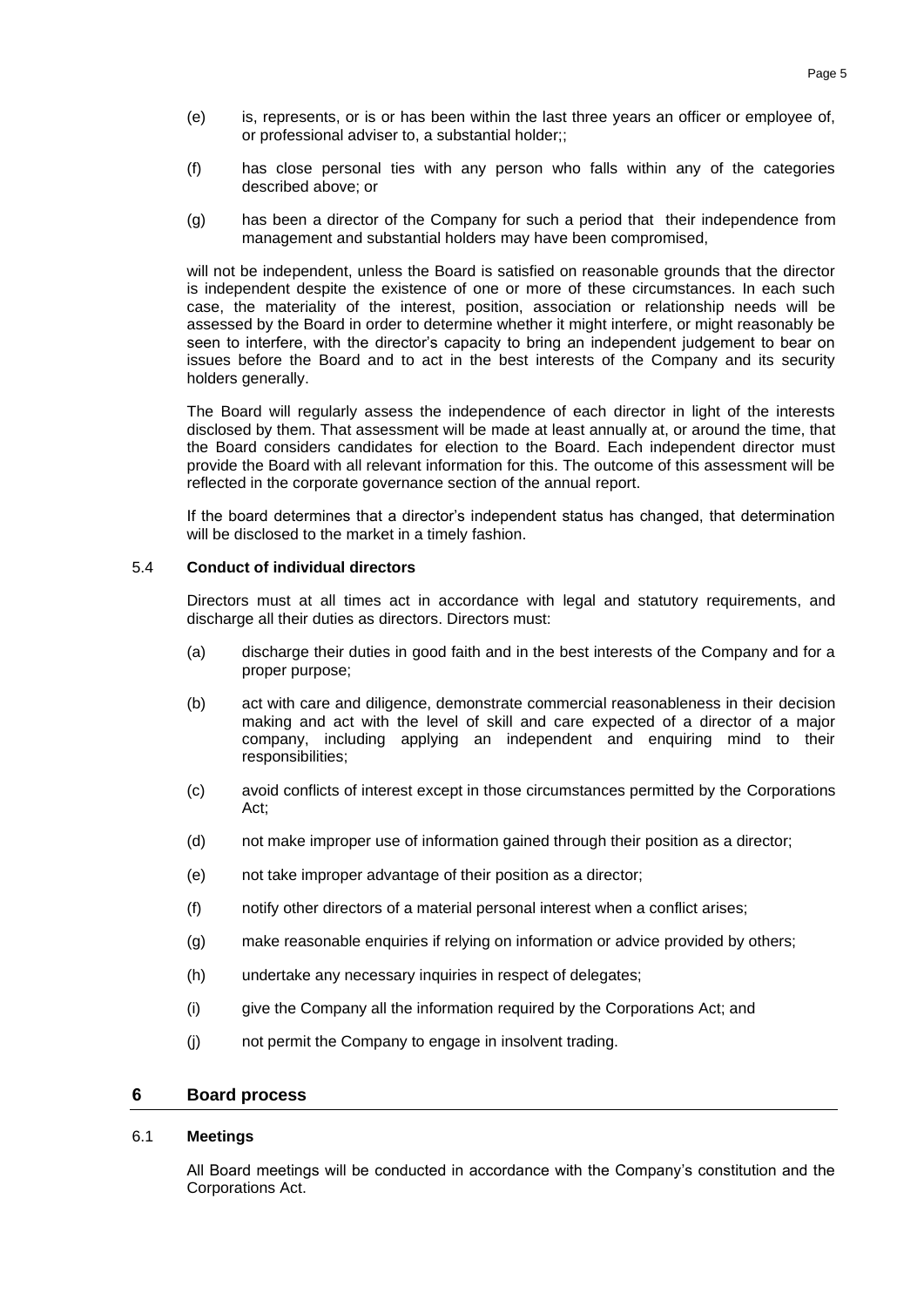- (e) is, represents, or is or has been within the last three years an officer or employee of, or professional adviser to, a substantial holder;;
- (f) has close personal ties with any person who falls within any of the categories described above; or
- (g) has been a director of the Company for such a period that their independence from management and substantial holders may have been compromised,

will not be independent, unless the Board is satisfied on reasonable grounds that the director is independent despite the existence of one or more of these circumstances. In each such case, the materiality of the interest, position, association or relationship needs will be assessed by the Board in order to determine whether it might interfere, or might reasonably be seen to interfere, with the director's capacity to bring an independent judgement to bear on issues before the Board and to act in the best interests of the Company and its security holders generally.

The Board will regularly assess the independence of each director in light of the interests disclosed by them. That assessment will be made at least annually at, or around the time, that the Board considers candidates for election to the Board. Each independent director must provide the Board with all relevant information for this. The outcome of this assessment will be reflected in the corporate governance section of the annual report.

If the board determines that a director's independent status has changed, that determination will be disclosed to the market in a timely fashion.

#### 5.4 **Conduct of individual directors**

Directors must at all times act in accordance with legal and statutory requirements, and discharge all their duties as directors. Directors must:

- (a) discharge their duties in good faith and in the best interests of the Company and for a proper purpose;
- (b) act with care and diligence, demonstrate commercial reasonableness in their decision making and act with the level of skill and care expected of a director of a major company, including applying an independent and enquiring mind to their responsibilities;
- (c) avoid conflicts of interest except in those circumstances permitted by the Corporations Act;
- (d) not make improper use of information gained through their position as a director;
- (e) not take improper advantage of their position as a director;
- (f) notify other directors of a material personal interest when a conflict arises;
- (g) make reasonable enquiries if relying on information or advice provided by others;
- (h) undertake any necessary inquiries in respect of delegates;
- (i) give the Company all the information required by the Corporations Act; and
- (j) not permit the Company to engage in insolvent trading.

## **6 Board process**

#### 6.1 **Meetings**

All Board meetings will be conducted in accordance with the Company's constitution and the Corporations Act.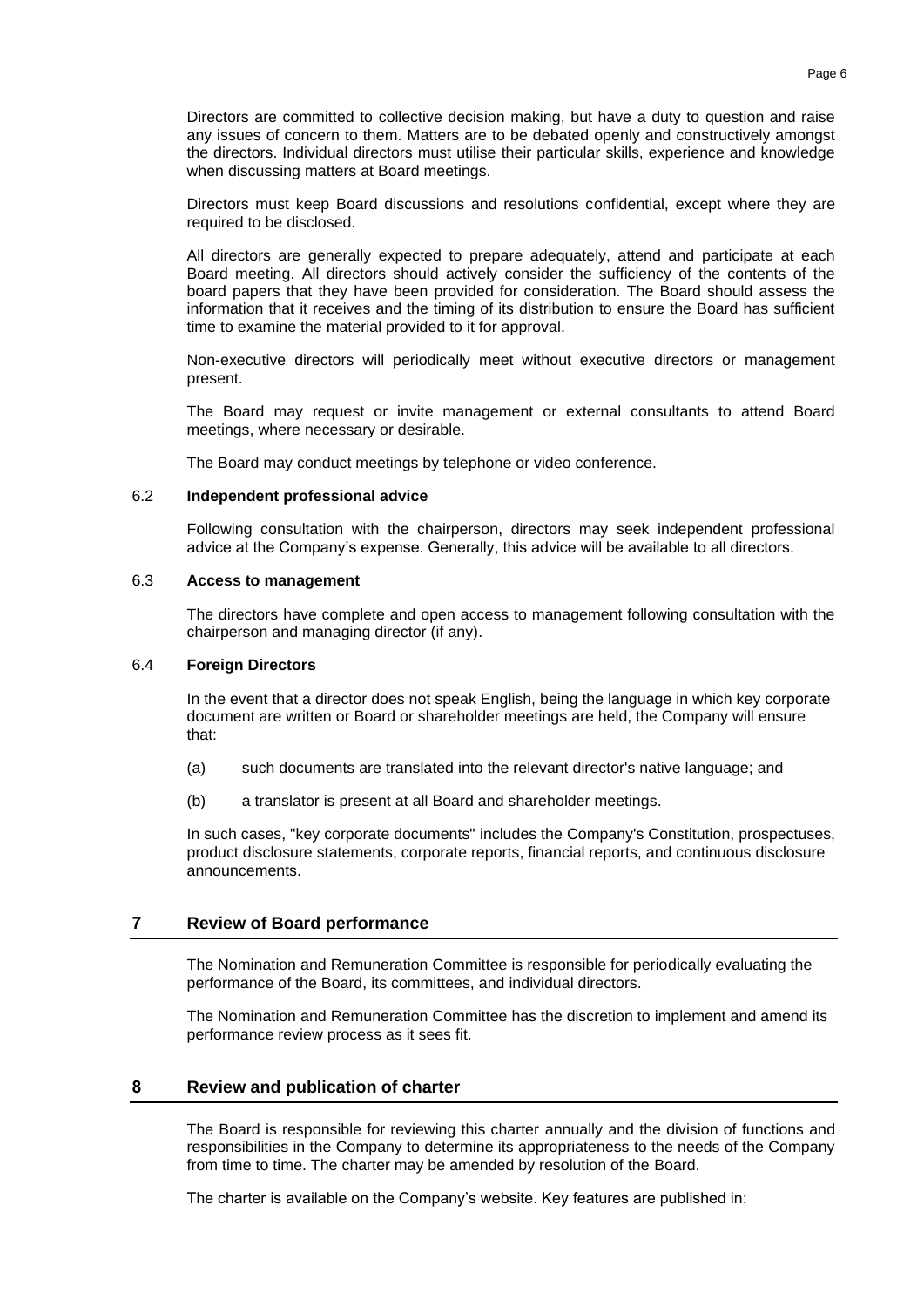Directors are committed to collective decision making, but have a duty to question and raise any issues of concern to them. Matters are to be debated openly and constructively amongst the directors. Individual directors must utilise their particular skills, experience and knowledge when discussing matters at Board meetings.

Directors must keep Board discussions and resolutions confidential, except where they are required to be disclosed.

All directors are generally expected to prepare adequately, attend and participate at each Board meeting. All directors should actively consider the sufficiency of the contents of the board papers that they have been provided for consideration. The Board should assess the information that it receives and the timing of its distribution to ensure the Board has sufficient time to examine the material provided to it for approval.

Non-executive directors will periodically meet without executive directors or management present.

The Board may request or invite management or external consultants to attend Board meetings, where necessary or desirable.

The Board may conduct meetings by telephone or video conference.

#### 6.2 **Independent professional advice**

Following consultation with the chairperson, directors may seek independent professional advice at the Company's expense. Generally, this advice will be available to all directors.

#### 6.3 **Access to management**

The directors have complete and open access to management following consultation with the chairperson and managing director (if any).

#### 6.4 **Foreign Directors**

In the event that a director does not speak English, being the language in which key corporate document are written or Board or shareholder meetings are held, the Company will ensure that:

- (a) such documents are translated into the relevant director's native language; and
- (b) a translator is present at all Board and shareholder meetings.

In such cases, "key corporate documents" includes the Company's Constitution, prospectuses, product disclosure statements, corporate reports, financial reports, and continuous disclosure announcements.

#### **7 Review of Board performance**

The Nomination and Remuneration Committee is responsible for periodically evaluating the performance of the Board, its committees, and individual directors.

The Nomination and Remuneration Committee has the discretion to implement and amend its performance review process as it sees fit.

#### **8 Review and publication of charter**

The Board is responsible for reviewing this charter annually and the division of functions and responsibilities in the Company to determine its appropriateness to the needs of the Company from time to time. The charter may be amended by resolution of the Board.

The charter is available on the Company's website. Key features are published in: